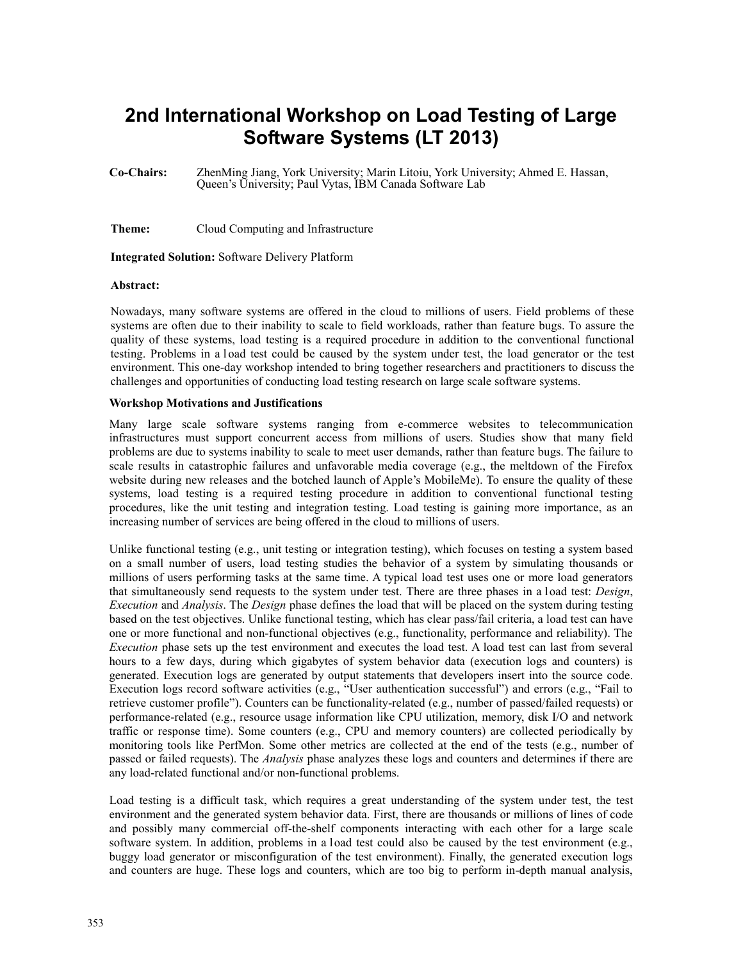# **2nd International Workshop on Load Testing of Large Software Systems (LT 2013)**

**Co-Chairs:** ZhenMing Jiang, York University; Marin Litoiu, York University; Ahmed E. Hassan, Queen's University; Paul Vytas, IBM Canada Software Lab

**Theme:** Cloud Computing and Infrastructure

**Integrated Solution:** Software Delivery Platform

#### **Abstract:**

Nowadays, many software systems are offered in the cloud to millions of users. Field problems of these systems are often due to their inability to scale to field workloads, rather than feature bugs. To assure the quality of these systems, load testing is a required procedure in addition to the conventional functional testing. Problems in a l oad test could be caused by the system under test, the load generator or the test environment. This one-day workshop intended to bring together researchers and practitioners to discuss the challenges and opportunities of conducting load testing research on large scale software systems.

### **Workshop Motivations and Justifications**

Many large scale software systems ranging from e-commerce websites to telecommunication infrastructures must support concurrent access from millions of users. Studies show that many field problems are due to systems inability to scale to meet user demands, rather than feature bugs. The failure to scale results in catastrophic failures and unfavorable media coverage (e.g., the meltdown of the Firefox website during new releases and the botched launch of Apple's MobileMe). To ensure the quality of these systems, load testing is a required testing procedure in addition to conventional functional testing procedures, like the unit testing and integration testing. Load testing is gaining more importance, as an increasing number of services are being offered in the cloud to millions of users.

Unlike functional testing (e.g., unit testing or integration testing), which focuses on testing a system based on a small number of users, load testing studies the behavior of a system by simulating thousands or millions of users performing tasks at the same time. A typical load test uses one or more load generators that simultaneously send requests to the system under test. There are three phases in a load test: *Design*, *Execution* and *Analysis*. The *Design* phase defines the load that will be placed on the system during testing based on the test objectives. Unlike functional testing, which has clear pass/fail criteria, a load test can have one or more functional and non-functional objectives (e.g., functionality, performance and reliability). The *Execution* phase sets up the test environment and executes the load test. A load test can last from several hours to a few days, during which gigabytes of system behavior data (execution logs and counters) is generated. Execution logs are generated by output statements that developers insert into the source code. Execution logs record software activities (e.g., "User authentication successful") and errors (e.g., "Fail to retrieve customer profile"). Counters can be functionality-related (e.g., number of passed/failed requests) or performance-related (e.g., resource usage information like CPU utilization, memory, disk I/O and network traffic or response time). Some counters (e.g., CPU and memory counters) are collected periodically by monitoring tools like PerfMon. Some other metrics are collected at the end of the tests (e.g., number of passed or failed requests). The *Analysis* phase analyzes these logs and counters and determines if there are any load-related functional and/or non-functional problems.

Load testing is a difficult task, which requires a great understanding of the system under test, the test environment and the generated system behavior data. First, there are thousands or millions of lines of code and possibly many commercial off-the-shelf components interacting with each other for a large scale software system. In addition, problems in a load test could also be caused by the test environment (e.g., buggy load generator or misconfiguration of the test environment). Finally, the generated execution logs and counters are huge. These logs and counters, which are too big to perform in-depth manual analysis,